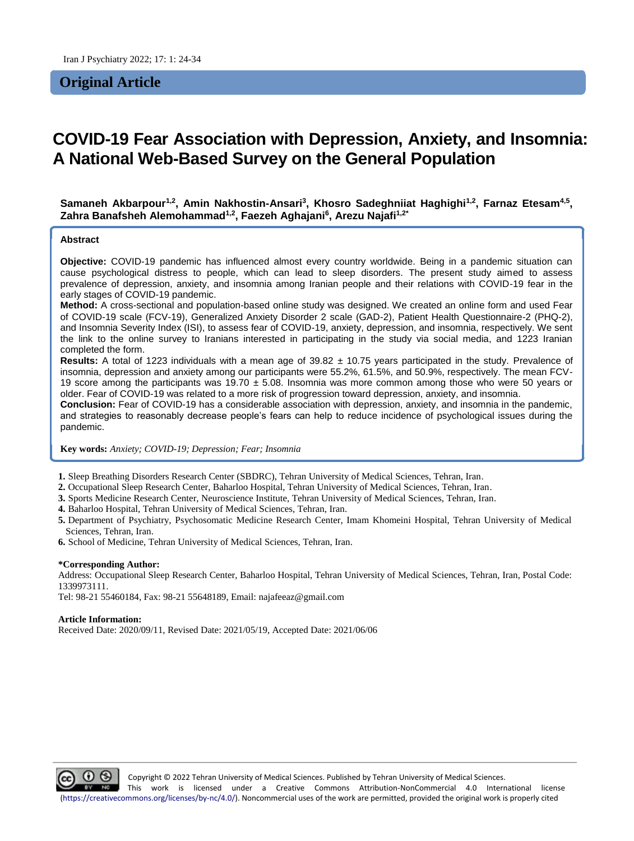## **Original Article**

# **COVID-19 Fear Association with Depression, Anxiety, and Insomnia: A National Web-Based Survey on the General Population**

 $\mathsf{S}$ amaneh Akbarpour<sup>1,2</sup>, Amin Nakhostin-Ansari<sup>3</sup>, Khosro Sadeghniiat Haghighi<sup>1,2</sup>, Farnaz Etesam<sup>4,5</sup>, **Zahra Banafsheh Alemohammad1,2, Faezeh Aghajani<sup>6</sup> , Arezu Najafi1,2\***

#### **Abstract**

**Objective:** COVID-19 pandemic has influenced almost every country worldwide. Being in a pandemic situation can cause psychological distress to people, which can lead to sleep disorders. The present study aimed to assess prevalence of depression, anxiety, and insomnia among Iranian people and their relations with COVID-19 fear in the early stages of COVID-19 pandemic.

**Method:** A cross-sectional and population-based online study was designed. We created an online form and used Fear of COVID-19 scale (FCV-19), Generalized Anxiety Disorder 2 scale (GAD-2), Patient Health Questionnaire-2 (PHQ-2), and Insomnia Severity Index (ISI), to assess fear of COVID-19, anxiety, depression, and insomnia, respectively. We sent the link to the online survey to Iranians interested in participating in the study via social media, and 1223 Iranian completed the form.

**Results:** A total of 1223 individuals with a mean age of 39.82 ± 10.75 years participated in the study. Prevalence of insomnia, depression and anxiety among our participants were 55.2%, 61.5%, and 50.9%, respectively. The mean FCV-19 score among the participants was  $19.70 \pm 5.08$ . Insomnia was more common among those who were 50 years or older. Fear of COVID-19 was related to a more risk of progression toward depression, anxiety, and insomnia.

**Conclusion:** Fear of COVID-19 has a considerable association with depression, anxiety, and insomnia in the pandemic, and strategies to reasonably decrease people's fears can help to reduce incidence of psychological issues during the pandemic.

**Key words:** *Anxiety; COVID-19; Depression; Fear; Insomnia*

**1.** Sleep Breathing Disorders Research Center (SBDRC), Tehran University of Medical Sciences, Tehran, Iran.

- **2.** Occupational Sleep Research Center, Baharloo Hospital, Tehran University of Medical Sciences, Tehran, Iran.
- **3.** Sports Medicine Research Center, Neuroscience Institute, Tehran University of Medical Sciences, Tehran, Iran.
- **4.** Baharloo Hospital, Tehran University of Medical Sciences, Tehran, Iran.
- **5.** Department of Psychiatry, Psychosomatic Medicine Research Center, Imam Khomeini Hospital, Tehran University of Medical Sciences, Tehran, Iran.
- **6.** School of Medicine, Tehran University of Medical Sciences, Tehran, Iran.

#### **\*Corresponding Author:**

Address: Occupational Sleep Research Center, Baharloo Hospital, Tehran University of Medical Sciences, Tehran, Iran, Postal Code: 1339973111.

Tel: 98-21 55460184, Fax: 98-21 55648189, Email: najafeeaz@gmail.com

#### **Article Information:**

Received Date: 2020/09/11, Revised Date: 2021/05/19, Accepted Date: 2021/06/06

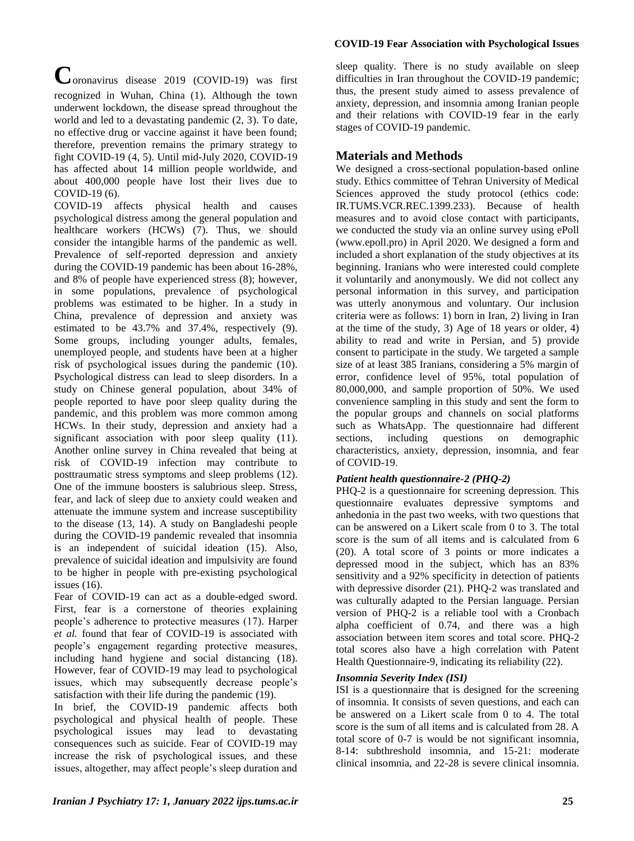#### **COVID-19 Fear Association with Psychological Issues**

**C**oronavirus disease 2019 (COVID-19) was first recognized in Wuhan, China (1). Although the town underwent lockdown, the disease spread throughout the world and led to a devastating pandemic (2, 3). To date, no effective drug or vaccine against it have been found; therefore, prevention remains the primary strategy to fight COVID-19 (4, 5). Until mid-July 2020, COVID-19 has affected about 14 million people worldwide, and about 400,000 people have lost their lives due to COVID-19 (6).

COVID-19 affects physical health and causes psychological distress among the general population and healthcare workers (HCWs) (7). Thus, we should consider the intangible harms of the pandemic as well. Prevalence of self-reported depression and anxiety during the COVID-19 pandemic has been about 16-28%, and 8% of people have experienced stress (8); however, in some populations, prevalence of psychological problems was estimated to be higher. In a study in China, prevalence of depression and anxiety was estimated to be 43.7% and 37.4%, respectively (9). Some groups, including younger adults, females, unemployed people, and students have been at a higher risk of psychological issues during the pandemic (10). Psychological distress can lead to sleep disorders. In a study on Chinese general population, about 34% of people reported to have poor sleep quality during the pandemic, and this problem was more common among HCWs. In their study, depression and anxiety had a significant association with poor sleep quality (11). Another online survey in China revealed that being at risk of COVID-19 infection may contribute to posttraumatic stress symptoms and sleep problems (12). One of the immune boosters is salubrious sleep. Stress, fear, and lack of sleep due to anxiety could weaken and attenuate the immune system and increase susceptibility to the disease (13, 14). A study on Bangladeshi people during the COVID-19 pandemic revealed that insomnia is an independent of suicidal ideation (15). Also, prevalence of suicidal ideation and impulsivity are found to be higher in people with pre-existing psychological issues (16).

Fear of COVID-19 can act as a double-edged sword. First, fear is a cornerstone of theories explaining people's adherence to protective measures (17). Harper *et al.* found that fear of COVID-19 is associated with people's engagement regarding protective measures, including hand hygiene and social distancing (18). However, fear of COVID-19 may lead to psychological issues, which may subsequently decrease people's satisfaction with their life during the pandemic (19).

In brief, the COVID-19 pandemic affects both psychological and physical health of people. These psychological issues may lead to devastating consequences such as suicide. Fear of COVID-19 may increase the risk of psychological issues, and these issues, altogether, may affect people's sleep duration and

sleep quality. There is no study available on sleep difficulties in Iran throughout the COVID-19 pandemic; thus, the present study aimed to assess prevalence of anxiety, depression, and insomnia among Iranian people and their relations with COVID-19 fear in the early stages of COVID-19 pandemic.

## **Materials and Methods**

We designed a cross-sectional population-based online study. Ethics committee of Tehran University of Medical Sciences approved the study protocol (ethics code: IR.TUMS.VCR.REC.1399.233). Because of health measures and to avoid close contact with participants, we conducted the study via an online survey using ePoll (www.epoll.pro) in April 2020. We designed a form and included a short explanation of the study objectives at its beginning. Iranians who were interested could complete it voluntarily and anonymously. We did not collect any personal information in this survey, and participation was utterly anonymous and voluntary. Our inclusion criteria were as follows: 1) born in Iran, 2) living in Iran at the time of the study, 3) Age of 18 years or older, 4) ability to read and write in Persian, and 5) provide consent to participate in the study. We targeted a sample size of at least 385 Iranians, considering a 5% margin of error, confidence level of 95%, total population of 80,000,000, and sample proportion of 50%. We used convenience sampling in this study and sent the form to the popular groups and channels on social platforms such as WhatsApp. The questionnaire had different sections, including questions on demographic characteristics, anxiety, depression, insomnia, and fear of COVID-19.

### *Patient health questionnaire-2 (PHQ-2)*

PHQ-2 is a questionnaire for screening depression. This questionnaire evaluates depressive symptoms and anhedonia in the past two weeks, with two questions that can be answered on a Likert scale from 0 to 3. The total score is the sum of all items and is calculated from 6 (20). A total score of 3 points or more indicates a depressed mood in the subject, which has an 83% sensitivity and a 92% specificity in detection of patients with depressive disorder (21). PHQ-2 was translated and was culturally adapted to the Persian language. Persian version of PHQ-2 is a reliable tool with a Cronbach alpha coefficient of 0.74, and there was a high association between item scores and total score. PHQ-2 total scores also have a high correlation with Patent Health Questionnaire-9, indicating its reliability (22).

### *Insomnia Severity Index (ISI)*

ISI is a questionnaire that is designed for the screening of insomnia. It consists of seven questions, and each can be answered on a Likert scale from 0 to 4. The total score is the sum of all items and is calculated from 28. A total score of 0-7 is would be not significant insomnia, 8-14: subthreshold insomnia, and 15-21: moderate clinical insomnia, and 22-28 is severe clinical insomnia.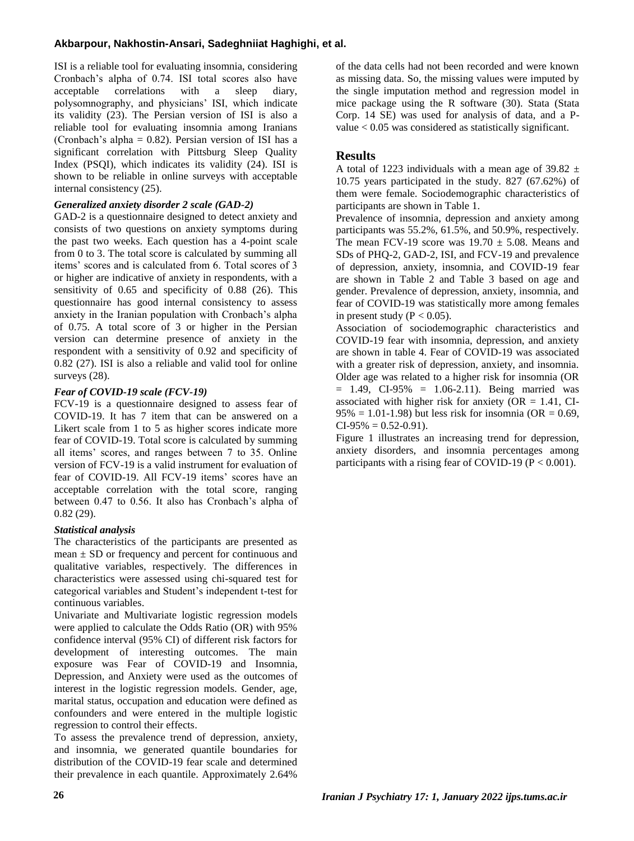### **Akbarpour, Nakhostin-Ansari, Sadeghniiat Haghighi, et al.**

ISI is a reliable tool for evaluating insomnia, considering Cronbach's alpha of 0.74. ISI total scores also have<br>acceptable correlations with a sleep diary. acceptable correlations with a sleep polysomnography, and physicians' ISI, which indicate its validity (23). The Persian version of ISI is also a reliable tool for evaluating insomnia among Iranians (Cronbach's alpha =  $0.82$ ). Persian version of ISI has a significant correlation with Pittsburg Sleep Quality Index (PSQI), which indicates its validity (24). ISI is shown to be reliable in online surveys with acceptable internal consistency (25).

#### *Generalized anxiety disorder 2 scale (GAD-2)*

GAD-2 is a questionnaire designed to detect anxiety and consists of two questions on anxiety symptoms during the past two weeks. Each question has a 4-point scale from 0 to 3. The total score is calculated by summing all items' scores and is calculated from 6. Total scores of 3 or higher are indicative of anxiety in respondents, with a sensitivity of 0.65 and specificity of 0.88 (26). This questionnaire has good internal consistency to assess anxiety in the Iranian population with Cronbach's alpha of 0.75. A total score of 3 or higher in the Persian version can determine presence of anxiety in the respondent with a sensitivity of 0.92 and specificity of 0.82 (27). ISI is also a reliable and valid tool for online surveys  $(28)$ .

#### *Fear of COVID-19 scale (FCV-19)*

FCV-19 is a questionnaire designed to assess fear of COVID-19. It has 7 item that can be answered on a Likert scale from 1 to 5 as higher scores indicate more fear of COVID-19. Total score is calculated by summing all items' scores, and ranges between 7 to 35. Online version of FCV-19 is a valid instrument for evaluation of fear of COVID-19. All FCV-19 items' scores have an acceptable correlation with the total score, ranging between 0.47 to 0.56. It also has Cronbach's alpha of 0.82 (29).

#### *Statistical analysis*

The characteristics of the participants are presented as mean  $\pm$  SD or frequency and percent for continuous and qualitative variables, respectively. The differences in characteristics were assessed using chi-squared test for categorical variables and Student's independent t-test for continuous variables.

Univariate and Multivariate logistic regression models were applied to calculate the Odds Ratio (OR) with 95% confidence interval (95% CI) of different risk factors for development of interesting outcomes. The main exposure was Fear of COVID-19 and Insomnia, Depression, and Anxiety were used as the outcomes of interest in the logistic regression models. Gender, age, marital status, occupation and education were defined as confounders and were entered in the multiple logistic regression to control their effects.

To assess the prevalence trend of depression, anxiety, and insomnia, we generated quantile boundaries for distribution of the COVID-19 fear scale and determined their prevalence in each quantile. Approximately 2.64%

of the data cells had not been recorded and were known as missing data. So, the missing values were imputed by the single imputation method and regression model in mice package using the R software (30). Stata (Stata Corp. 14 SE) was used for analysis of data, and a Pvalue < 0.05 was considered as statistically significant.

### **Results**

A total of 1223 individuals with a mean age of 39.82  $\pm$ 10.75 years participated in the study. 827 (67.62%) of them were female. Sociodemographic characteristics of participants are shown in Table 1.

Prevalence of insomnia, depression and anxiety among participants was 55.2%, 61.5%, and 50.9%, respectively. The mean FCV-19 score was  $19.70 \pm 5.08$ . Means and SDs of PHQ-2, GAD-2, ISI, and FCV-19 and prevalence of depression, anxiety, insomnia, and COVID-19 fear are shown in Table 2 and Table 3 based on age and gender. Prevalence of depression, anxiety, insomnia, and fear of COVID-19 was statistically more among females in present study ( $P < 0.05$ ).

Association of sociodemographic characteristics and COVID-19 fear with insomnia, depression, and anxiety are shown in table 4. Fear of COVID-19 was associated with a greater risk of depression, anxiety, and insomnia. Older age was related to a higher risk for insomnia (OR  $= 1.49$ , CI-95%  $= 1.06 - 2.11$ ). Being married was associated with higher risk for anxiety ( $OR = 1.41$ , CI- $95\% = 1.01 - 1.98$ ) but less risk for insomnia (OR = 0.69,  $CI-95\% = 0.52-0.91$ .

Figure 1 illustrates an increasing trend for depression, anxiety disorders, and insomnia percentages among participants with a rising fear of COVID-19 ( $P < 0.001$ ).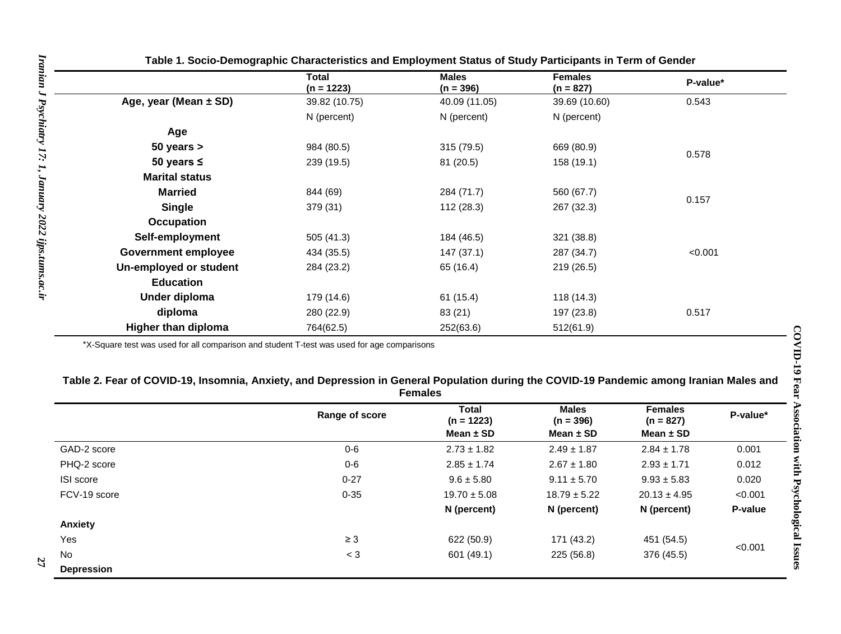|                            | Total<br>$(n = 1223)$ | <b>Males</b><br>$(n = 396)$ | <b>Females</b><br>$(n = 827)$ | P-value* |
|----------------------------|-----------------------|-----------------------------|-------------------------------|----------|
| Age, year (Mean $\pm$ SD)  | 39.82 (10.75)         | 40.09 (11.05)               | 39.69 (10.60)                 | 0.543    |
|                            | N (percent)           | N (percent)                 | N (percent)                   |          |
| Age                        |                       |                             |                               |          |
| $50$ years $>$             | 984 (80.5)            | 315(79.5)                   | 669 (80.9)                    |          |
| 50 years $\leq$            | 239 (19.5)            | 81 (20.5)                   | 158 (19.1)                    | 0.578    |
| <b>Marital status</b>      |                       |                             |                               |          |
| <b>Married</b>             | 844 (69)              | 284 (71.7)                  | 560 (67.7)                    | 0.157    |
| <b>Single</b>              | 379 (31)              | 112(28.3)                   | 267 (32.3)                    |          |
| Occupation                 |                       |                             |                               |          |
| Self-employment            | 505 (41.3)            | 184 (46.5)                  | 321 (38.8)                    |          |
| <b>Government employee</b> | 434 (35.5)            | 147 (37.1)                  | 287 (34.7)                    | < 0.001  |
| Un-employed or student     | 284 (23.2)            | 65 (16.4)                   | 219 (26.5)                    |          |
| <b>Education</b>           |                       |                             |                               |          |
| Under diploma              | 179 (14.6)            | 61(15.4)                    | 118 (14.3)                    |          |
| diploma                    | 280 (22.9)            | 83 (21)                     | 197 (23.8)                    | 0.517    |
| <b>Higher than diploma</b> | 764(62.5)             | 252(63.6)                   | 512(61.9)                     |          |

**Table 1. Socio-Demographic Characteristics and Employment Status of Study Participants in Term of Gender**

\*X-Square test was used for all comparison and student T-test was used for age comparisons

| Table 2. Fear of COVID-19, Insomnia, Anxiety, and Depression in General Population during the COVID-19 Pandemic among Iranian Males and |
|-----------------------------------------------------------------------------------------------------------------------------------------|
| <b>Females</b>                                                                                                                          |

|                   | Range of score | Total<br>$(n = 1223)$ | <b>Males</b><br>$(n = 396)$ | <b>Females</b><br>$(n = 827)$ | P-value* |
|-------------------|----------------|-----------------------|-----------------------------|-------------------------------|----------|
|                   |                | Mean $\pm$ SD         | Mean $\pm$ SD               | Mean $\pm$ SD                 |          |
| GAD-2 score       | $0 - 6$        | $2.73 \pm 1.82$       | $2.49 \pm 1.87$             | $2.84 \pm 1.78$               | 0.001    |
| PHQ-2 score       | $0 - 6$        | $2.85 \pm 1.74$       | $2.67 \pm 1.80$             | $2.93 \pm 1.71$               | 0.012    |
| ISI score         | $0 - 27$       | $9.6 \pm 5.80$        | $9.11 \pm 5.70$             | $9.93 \pm 5.83$               | 0.020    |
| FCV-19 score      | $0 - 35$       | $19.70 \pm 5.08$      | $18.79 \pm 5.22$            | $20.13 \pm 4.95$              | < 0.001  |
|                   |                | N (percent)           | N (percent)                 | N (percent)                   | P-value  |
| Anxiety           |                |                       |                             |                               |          |
| Yes               | $\geq 3$       | 622 (50.9)            | 171 (43.2)                  | 451 (54.5)                    |          |
| <b>No</b>         | $<$ 3          | 601 (49.1)            | 225 (56.8)                  | 376 (45.5)                    | < 0.001  |
| <b>Depression</b> |                |                       |                             |                               |          |

**27**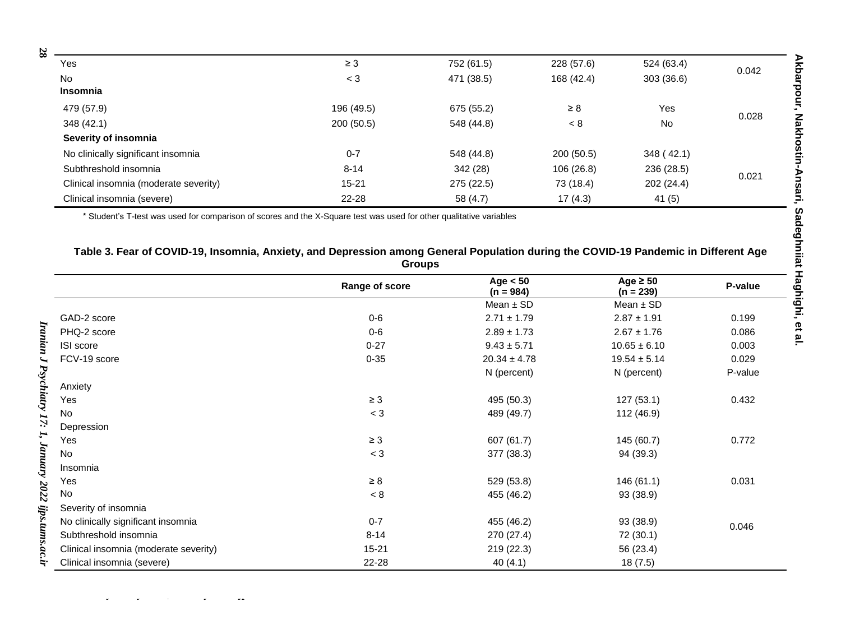| 28 |                                       |            |            |            |            |       |  |
|----|---------------------------------------|------------|------------|------------|------------|-------|--|
|    | Yes                                   | $\geq$ 3   | 752 (61.5) | 228 (57.6) | 524 (63.4) | 0.042 |  |
|    | No                                    | $<$ 3      | 471 (38.5) | 168 (42.4) | 303(36.6)  |       |  |
|    | <b>Insomnia</b>                       |            |            |            |            |       |  |
|    | 479 (57.9)                            | 196 (49.5) | 675 (55.2) | $\geq 8$   | Yes        |       |  |
|    | 348 (42.1)                            | 200(50.5)  | 548 (44.8) | < 8        | <b>No</b>  | 0.028 |  |
|    | Severity of insomnia                  |            |            |            |            |       |  |
|    | No clinically significant insomnia    | $0 - 7$    | 548 (44.8) | 200(50.5)  | 348 (42.1) |       |  |
|    | Subthreshold insomnia                 | $8 - 14$   | 342 (28)   | 106(26.8)  | 236 (28.5) | 0.021 |  |
|    | Clinical insomnia (moderate severity) | $15 - 21$  | 275 (22.5) | 73 (18.4)  | 202 (24.4) |       |  |
|    | Clinical insomnia (severe)            | $22 - 28$  | 58 (4.7)   | 17(4.3)    | 41(5)      |       |  |

\* Student's T-test was used for comparison of scores and the X-Square test was used for other qualitative variables

### **Table 3. Fear of COVID-19, Insomnia, Anxiety, and Depression among General Population during the COVID-19 Pandemic in Different Age Groups**

|                                       | Range of score | Age $< 50$<br>$(n = 984)$ | Age $\geq 50$<br>$(n = 239)$ | P-value |
|---------------------------------------|----------------|---------------------------|------------------------------|---------|
|                                       |                | Mean $\pm$ SD             | Mean $\pm$ SD                |         |
| GAD-2 score                           | $0-6$          | $2.71 \pm 1.79$           | $2.87 \pm 1.91$              | 0.199   |
| PHQ-2 score                           | $0-6$          | $2.89 \pm 1.73$           | $2.67 \pm 1.76$              | 0.086   |
| ISI score                             | $0 - 27$       | $9.43 \pm 5.71$           | $10.65 \pm 6.10$             | 0.003   |
| FCV-19 score                          | $0 - 35$       | $20.34 \pm 4.78$          | $19.54 \pm 5.14$             | 0.029   |
|                                       |                | N (percent)               | N (percent)                  | P-value |
| Anxiety                               |                |                           |                              |         |
| Yes                                   | $\geq 3$       | 495 (50.3)                | 127(53.1)                    | 0.432   |
| No                                    | $<$ 3          | 489 (49.7)                | 112 (46.9)                   |         |
| Depression                            |                |                           |                              |         |
| Yes                                   | $\geq 3$       | 607 (61.7)                | 145 (60.7)                   | 0.772   |
| No                                    | $<$ 3          | 377 (38.3)                | 94 (39.3)                    |         |
| Insomnia                              |                |                           |                              |         |
| Yes                                   | $\geq 8$       | 529 (53.8)                | 146(61.1)                    | 0.031   |
| No                                    | < 8            | 455 (46.2)                | 93 (38.9)                    |         |
| Severity of insomnia                  |                |                           |                              |         |
| No clinically significant insomnia    | $0 - 7$        | 455 (46.2)                | 93 (38.9)                    | 0.046   |
| Subthreshold insomnia                 | $8 - 14$       | 270 (27.4)                | 72 (30.1)                    |         |
| Clinical insomnia (moderate severity) | $15 - 21$      | 219 (22.3)                | 56 (23.4)                    |         |
| Clinical insomnia (severe)            | 22-28          | 40(4.1)                   | 18(7.5)                      |         |

*Iranian J Psychiatry 1*

*2022 ijps.tums.ac.ir* **28**

*7:*

*1, January*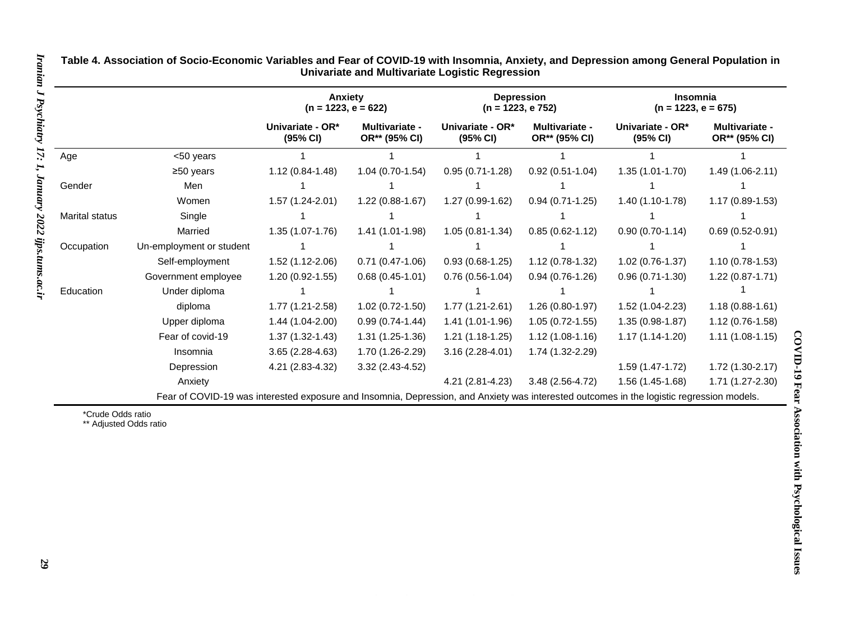|                       |                                                                                                                                           | Anxiety<br>$(n = 1223, e = 622)$ |                                 | <b>Depression</b><br>$(n = 1223, e 752)$ |                                        | <b>Insomnia</b><br>$(n = 1223, e = 675)$ |                                        |
|-----------------------|-------------------------------------------------------------------------------------------------------------------------------------------|----------------------------------|---------------------------------|------------------------------------------|----------------------------------------|------------------------------------------|----------------------------------------|
|                       |                                                                                                                                           | Univariate - OR*<br>(95% CI)     | Multivariate -<br>OR** (95% CI) | Univariate - OR*<br>(95% CI)             | <b>Multivariate -</b><br>OR** (95% CI) | Univariate - OR*<br>(95% CI)             | <b>Multivariate -</b><br>OR** (95% CI) |
| Age                   | <50 years                                                                                                                                 |                                  |                                 |                                          |                                        |                                          |                                        |
|                       | ≥50 years                                                                                                                                 | $1.12(0.84-1.48)$                | $1.04(0.70-1.54)$               | $0.95(0.71-1.28)$                        | $0.92(0.51-1.04)$                      | $1.35(1.01-1.70)$                        | $1.49(1.06-2.11)$                      |
| Gender                | Men                                                                                                                                       |                                  |                                 |                                          |                                        |                                          |                                        |
|                       | Women                                                                                                                                     | $1.57(1.24-2.01)$                | $1.22(0.88-1.67)$               | 1.27 (0.99-1.62)                         | $0.94(0.71-1.25)$                      | $1.40(1.10-1.78)$                        | $1.17(0.89-1.53)$                      |
| <b>Marital status</b> | Single                                                                                                                                    |                                  |                                 |                                          |                                        |                                          |                                        |
|                       | Married                                                                                                                                   | $1.35(1.07-1.76)$                | $1.41(1.01-1.98)$               | $1.05(0.81 - 1.34)$                      | $0.85(0.62 - 1.12)$                    | $0.90(0.70-1.14)$                        | $0.69(0.52-0.91)$                      |
| Occupation            | Un-employment or student                                                                                                                  |                                  |                                 |                                          |                                        |                                          |                                        |
|                       | Self-employment                                                                                                                           | 1.52 (1.12-2.06)                 | $0.71(0.47-1.06)$               | $0.93(0.68-1.25)$                        | $1.12(0.78-1.32)$                      | $1.02(0.76-1.37)$                        | $1.10(0.78-1.53)$                      |
|                       | Government employee                                                                                                                       | $1.20(0.92 - 1.55)$              | $0.68(0.45-1.01)$               | $0.76(0.56-1.04)$                        | $0.94(0.76-1.26)$                      | $0.96(0.71-1.30)$                        | $1.22(0.87-1.71)$                      |
| Education             | Under diploma                                                                                                                             |                                  |                                 |                                          |                                        |                                          |                                        |
|                       | diploma                                                                                                                                   | $1.77(1.21 - 2.58)$              | $1.02(0.72 - 1.50)$             | $1.77(1.21-2.61)$                        | $1.26(0.80-1.97)$                      | 1.52 (1.04-2.23)                         | $1.18(0.88 - 1.61)$                    |
|                       | Upper diploma                                                                                                                             | 1.44 (1.04-2.00)                 | $0.99(0.74-1.44)$               | 1.41 (1.01-1.96)                         | $1.05(0.72-1.55)$                      | $1.35(0.98-1.87)$                        | $1.12(0.76-1.58)$                      |
|                       | Fear of covid-19                                                                                                                          | $1.37(1.32-1.43)$                | $1.31(1.25-1.36)$               | $1.21(1.18-1.25)$                        | $1.12(1.08-1.16)$                      | $1.17(1.14-1.20)$                        | $1.11(1.08-1.15)$                      |
|                       | Insomnia                                                                                                                                  | $3.65(2.28-4.63)$                | 1.70 (1.26-2.29)                | $3.16(2.28-4.01)$                        | 1.74 (1.32-2.29)                       |                                          |                                        |
|                       | Depression                                                                                                                                | 4.21 (2.83-4.32)                 | $3.32(2.43-4.52)$               |                                          |                                        | 1.59 (1.47-1.72)                         | $1.72(1.30-2.17)$                      |
|                       | Anxiety                                                                                                                                   |                                  |                                 | 4.21 (2.81-4.23)                         | 3.48 (2.56-4.72)                       | 1.56 (1.45-1.68)                         | 1.71 (1.27-2.30)                       |
|                       | Fear of COVID-19 was interested exposure and Insomnia, Depression, and Anxiety was interested outcomes in the logistic regression models. |                                  |                                 |                                          |                                        |                                          |                                        |

**Table 4. Association of Socio-Economic Variables and Fear of COVID-19 with Insomnia, Anxiety, and Depression among General Population in Univariate and Multivariate Logistic Regression**

\*Crude Odds ratio

\*\* Adjusted Odds ratio

*7:*

*1, January*

*2022 ijps.tums.ac.ir*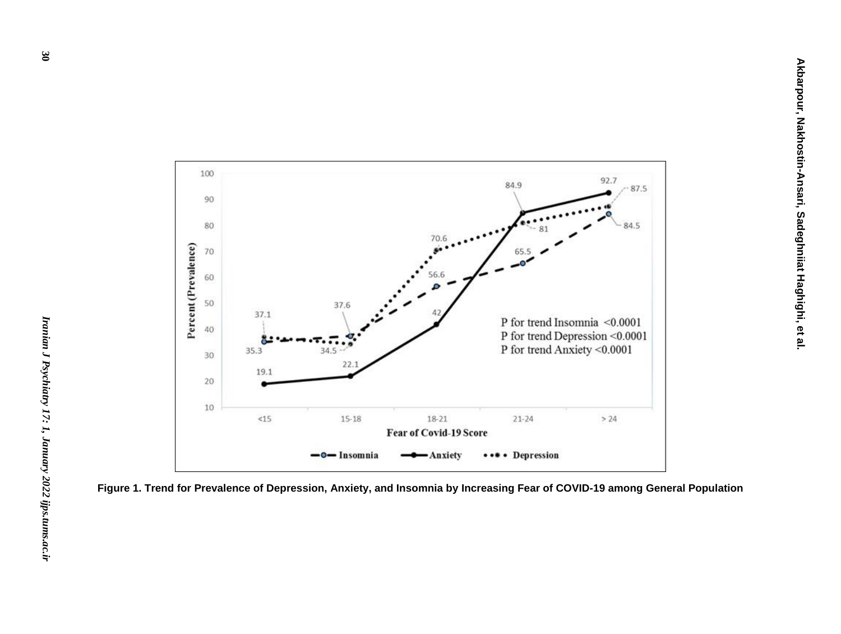

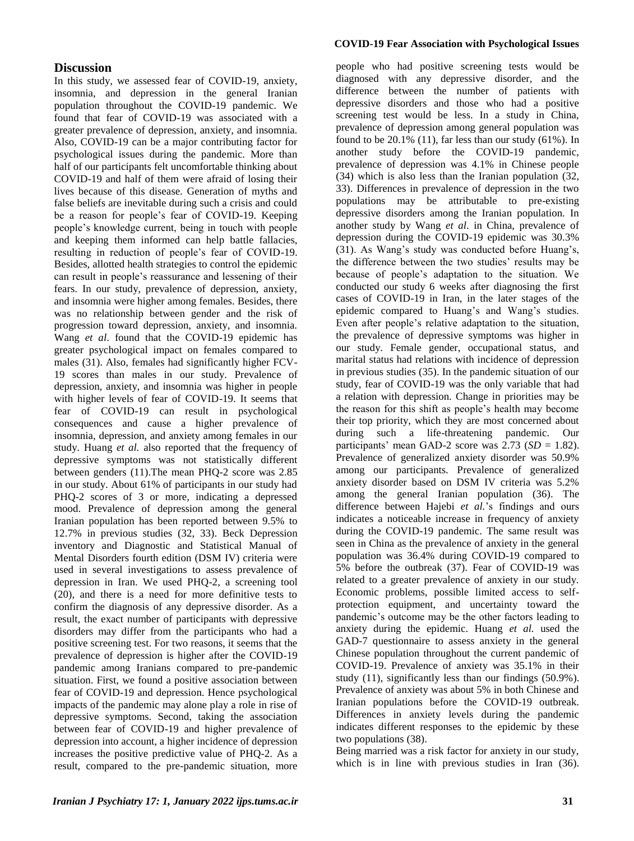#### **COVID-19 Fear Association with Psychological Issues**

### **Discussion**

In this study, we assessed fear of COVID-19, anxiety, insomnia, and depression in the general Iranian population throughout the COVID-19 pandemic. We found that fear of COVID-19 was associated with a greater prevalence of depression, anxiety, and insomnia. Also, COVID-19 can be a major contributing factor for psychological issues during the pandemic. More than half of our participants felt uncomfortable thinking about COVID-19 and half of them were afraid of losing their lives because of this disease. Generation of myths and false beliefs are inevitable during such a crisis and could be a reason for people's fear of COVID-19. Keeping people's knowledge current, being in touch with people and keeping them informed can help battle fallacies, resulting in reduction of people's fear of COVID-19. Besides, allotted health strategies to control the epidemic can result in people's reassurance and lessening of their fears. In our study, prevalence of depression, anxiety, and insomnia were higher among females. Besides, there was no relationship between gender and the risk of progression toward depression, anxiety, and insomnia. Wang *et al*. found that the COVID-19 epidemic has greater psychological impact on females compared to males (31). Also, females had significantly higher FCV-19 scores than males in our study. Prevalence of depression, anxiety, and insomnia was higher in people with higher levels of fear of COVID-19. It seems that fear of COVID-19 can result in psychological consequences and cause a higher prevalence of insomnia, depression, and anxiety among females in our study. Huang *et al.* also reported that the frequency of depressive symptoms was not statistically different between genders (11).The mean PHQ-2 score was 2.85 in our study. About 61% of participants in our study had PHQ-2 scores of 3 or more, indicating a depressed mood. Prevalence of depression among the general Iranian population has been reported between 9.5% to 12.7% in previous studies (32, 33). Beck Depression inventory and Diagnostic and Statistical Manual of Mental Disorders fourth edition (DSM IV) criteria were used in several investigations to assess prevalence of depression in Iran. We used PHQ-2, a screening tool (20), and there is a need for more definitive tests to confirm the diagnosis of any depressive disorder. As a result, the exact number of participants with depressive disorders may differ from the participants who had a positive screening test. For two reasons, it seems that the prevalence of depression is higher after the COVID-19 pandemic among Iranians compared to pre-pandemic situation. First, we found a positive association between fear of COVID-19 and depression. Hence psychological impacts of the pandemic may alone play a role in rise of depressive symptoms. Second, taking the association between fear of COVID-19 and higher prevalence of depression into account, a higher incidence of depression increases the positive predictive value of PHQ-2. As a result, compared to the pre-pandemic situation, more people who had positive screening tests would be diagnosed with any depressive disorder, and the difference between the number of patients with depressive disorders and those who had a positive screening test would be less. In a study in China, prevalence of depression among general population was found to be  $20.1\%$  (11), far less than our study (61%). In another study before the COVID-19 pandemic, prevalence of depression was 4.1% in Chinese people (34) which is also less than the Iranian population (32, 33). Differences in prevalence of depression in the two populations may be attributable to pre-existing depressive disorders among the Iranian population. In another study by Wang *et al*. in China, prevalence of depression during the COVID-19 epidemic was 30.3% (31). As Wang's study was conducted before Huang's, the difference between the two studies' results may be because of people's adaptation to the situation. We conducted our study 6 weeks after diagnosing the first cases of COVID-19 in Iran, in the later stages of the epidemic compared to Huang's and Wang's studies. Even after people's relative adaptation to the situation, the prevalence of depressive symptoms was higher in our study. Female gender, occupational status, and marital status had relations with incidence of depression in previous studies (35). In the pandemic situation of our study, fear of COVID-19 was the only variable that had a relation with depression. Change in priorities may be the reason for this shift as people's health may become their top priority, which they are most concerned about during such a life-threatening pandemic. Our participants' mean GAD-2 score was  $2.73$  (*SD* = 1.82). Prevalence of generalized anxiety disorder was 50.9% among our participants. Prevalence of generalized anxiety disorder based on DSM IV criteria was 5.2% among the general Iranian population (36). The difference between Hajebi *et al.*'s findings and ours indicates a noticeable increase in frequency of anxiety during the COVID-19 pandemic. The same result was seen in China as the prevalence of anxiety in the general population was 36.4% during COVID-19 compared to 5% before the outbreak (37). Fear of COVID-19 was related to a greater prevalence of anxiety in our study. Economic problems, possible limited access to selfprotection equipment, and uncertainty toward the pandemic's outcome may be the other factors leading to anxiety during the epidemic. Huang *et al.* used the GAD-7 questionnaire to assess anxiety in the general Chinese population throughout the current pandemic of COVID-19. Prevalence of anxiety was 35.1% in their study (11), significantly less than our findings (50.9%). Prevalence of anxiety was about 5% in both Chinese and Iranian populations before the COVID-19 outbreak. Differences in anxiety levels during the pandemic indicates different responses to the epidemic by these two populations (38).

Being married was a risk factor for anxiety in our study, which is in line with previous studies in Iran (36).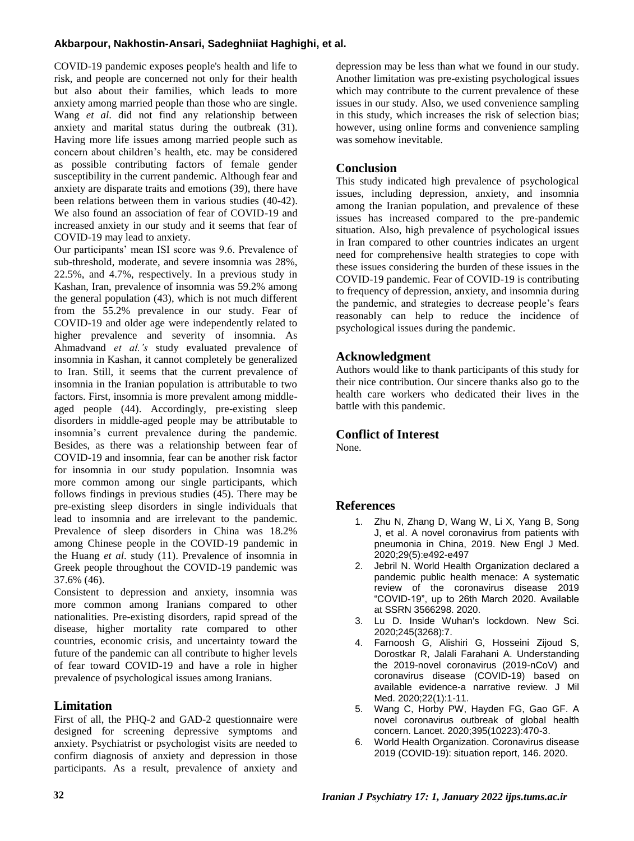### **Akbarpour, Nakhostin-Ansari, Sadeghniiat Haghighi, et al.**

COVID-19 pandemic exposes people's health and life to risk, and people are concerned not only for their health but also about their families, which leads to more anxiety among married people than those who are single. Wang *et al*. did not find any relationship between anxiety and marital status during the outbreak (31). Having more life issues among married people such as concern about children's health, etc. may be considered as possible contributing factors of female gender susceptibility in the current pandemic. Although fear and anxiety are disparate traits and emotions (39), there have been relations between them in various studies (40-42). We also found an association of fear of COVID-19 and increased anxiety in our study and it seems that fear of COVID-19 may lead to anxiety.

Our participants' mean ISI score was 9.6. Prevalence of sub-threshold, moderate, and severe insomnia was 28%, 22.5%, and 4.7%, respectively. In a previous study in Kashan, Iran, prevalence of insomnia was 59.2% among the general population (43), which is not much different from the 55.2% prevalence in our study. Fear of COVID-19 and older age were independently related to higher prevalence and severity of insomnia. As Ahmadvand *et al.'s* study evaluated prevalence of insomnia in Kashan, it cannot completely be generalized to Iran. Still, it seems that the current prevalence of insomnia in the Iranian population is attributable to two factors. First, insomnia is more prevalent among middleaged people (44). Accordingly, pre-existing sleep disorders in middle-aged people may be attributable to insomnia's current prevalence during the pandemic. Besides, as there was a relationship between fear of COVID-19 and insomnia, fear can be another risk factor for insomnia in our study population. Insomnia was more common among our single participants, which follows findings in previous studies (45). There may be pre-existing sleep disorders in single individuals that lead to insomnia and are irrelevant to the pandemic. Prevalence of sleep disorders in China was 18.2% among Chinese people in the COVID-19 pandemic in the Huang *et al*. study (11). Prevalence of insomnia in Greek people throughout the COVID-19 pandemic was 37.6% (46).

Consistent to depression and anxiety, insomnia was more common among Iranians compared to other nationalities. Pre-existing disorders, rapid spread of the disease, higher mortality rate compared to other countries, economic crisis, and uncertainty toward the future of the pandemic can all contribute to higher levels of fear toward COVID-19 and have a role in higher prevalence of psychological issues among Iranians.

# **Limitation**

First of all, the PHQ-2 and GAD-2 questionnaire were designed for screening depressive symptoms and anxiety. Psychiatrist or psychologist visits are needed to confirm diagnosis of anxiety and depression in those participants. As a result, prevalence of anxiety and

depression may be less than what we found in our study. Another limitation was pre-existing psychological issues which may contribute to the current prevalence of these issues in our study. Also, we used convenience sampling in this study, which increases the risk of selection bias; however, using online forms and convenience sampling was somehow inevitable.

### **Conclusion**

This study indicated high prevalence of psychological issues, including depression, anxiety, and insomnia among the Iranian population, and prevalence of these issues has increased compared to the pre-pandemic situation. Also, high prevalence of psychological issues in Iran compared to other countries indicates an urgent need for comprehensive health strategies to cope with these issues considering the burden of these issues in the COVID-19 pandemic. Fear of COVID-19 is contributing to frequency of depression, anxiety, and insomnia during the pandemic, and strategies to decrease people's fears reasonably can help to reduce the incidence of psychological issues during the pandemic.

## **Acknowledgment**

Authors would like to thank participants of this study for their nice contribution. Our sincere thanks also go to the health care workers who dedicated their lives in the battle with this pandemic.

### **Conflict of Interest**

None.

# **References**

- 1. Zhu N, Zhang D, Wang W, Li X, Yang B, Song J, et al. A novel coronavirus from patients with pneumonia in China, 2019. New Engl J Med. 2020;29(5):e492-e497
- 2. Jebril N. World Health Organization declared a pandemic public health menace: A systematic review of the coronavirus disease 2019 "COVID-19", up to 26th March 2020. Available at SSRN 3566298. 2020.
- 3. Lu D. Inside Wuhan's lockdown. New Sci. 2020;245(3268):7.
- 4. Farnoosh G, Alishiri G, Hosseini Zijoud S, Dorostkar R, Jalali Farahani A. Understanding the 2019-novel coronavirus (2019-nCoV) and coronavirus disease (COVID-19) based on available evidence-a narrative review. J Mil Med. 2020;22(1):1-11.
- 5. Wang C, Horby PW, Hayden FG, Gao GF. A novel coronavirus outbreak of global health concern. Lancet. 2020;395(10223):470-3.
- 6. World Health Organization. Coronavirus disease 2019 (COVID-19): situation report, 146. 2020.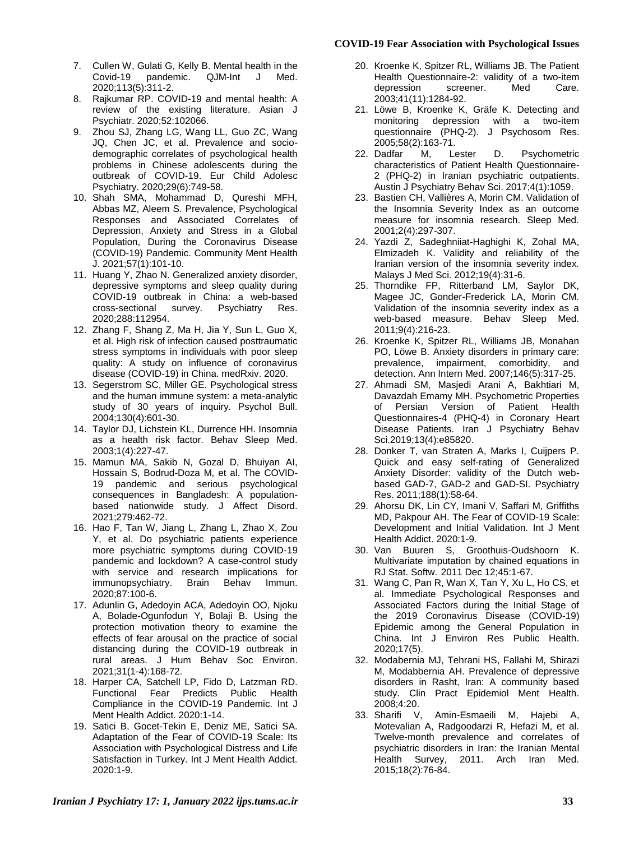#### **COVID-19 Fear Association with Psychological Issues**

- 7. Cullen W, Gulati G, Kelly B. Mental health in the Covid-19 pandemic. QJM-Int J Med. 2020;113(5):311-2.
- 8. Rajkumar RP. COVID-19 and mental health: A review of the existing literature. Asian J Psychiatr. 2020;52:102066.
- 9. Zhou SJ, Zhang LG, Wang LL, Guo ZC, Wang JQ, Chen JC, et al. Prevalence and sociodemographic correlates of psychological health problems in Chinese adolescents during the outbreak of COVID-19. Eur Child Adolesc Psychiatry. 2020;29(6):749-58.
- 10. Shah SMA, Mohammad D, Qureshi MFH, Abbas MZ, Aleem S. Prevalence, Psychological Responses and Associated Correlates of Depression, Anxiety and Stress in a Global Population, During the Coronavirus Disease (COVID-19) Pandemic. Community Ment Health J. 2021;57(1):101-10.
- 11. Huang Y, Zhao N. Generalized anxiety disorder, depressive symptoms and sleep quality during COVID-19 outbreak in China: a web-based cross-sectional survey. Psychiatry Res. 2020;288:112954.
- 12. Zhang F, Shang Z, Ma H, Jia Y, Sun L, Guo X, et al. High risk of infection caused posttraumatic stress symptoms in individuals with poor sleep quality: A study on influence of coronavirus disease (COVID-19) in China. medRxiv. 2020.
- 13. Segerstrom SC, Miller GE. Psychological stress and the human immune system: a meta-analytic study of 30 years of inquiry. Psychol Bull. 2004;130(4):601-30.
- 14. Taylor DJ, Lichstein KL, Durrence HH. Insomnia as a health risk factor. Behav Sleep Med. 2003;1(4):227-47.
- 15. Mamun MA, Sakib N, Gozal D, Bhuiyan AI, Hossain S, Bodrud-Doza M, et al. The COVID-19 pandemic and serious psychological consequences in Bangladesh: A populationbased nationwide study. J Affect Disord. 2021;279:462-72.
- 16. Hao F, Tan W, Jiang L, Zhang L, Zhao X, Zou Y, et al. Do psychiatric patients experience more psychiatric symptoms during COVID-19 pandemic and lockdown? A case-control study with service and research implications for immunopsychiatry. Brain Behav Immun. 2020;87:100-6.
- 17. Adunlin G, Adedoyin ACA, Adedoyin OO, Njoku A, Bolade-Ogunfodun Y, Bolaji B. Using the protection motivation theory to examine the effects of fear arousal on the practice of social distancing during the COVID-19 outbreak in rural areas. J Hum Behav Soc Environ. 2021;31(1-4):168-72.
- 18. Harper CA, Satchell LP, Fido D, Latzman RD. Functional Fear Predicts Public Health Compliance in the COVID-19 Pandemic. Int J Ment Health Addict. 2020:1-14.
- 19. Satici B, Gocet-Tekin E, Deniz ME, Satici SA. Adaptation of the Fear of COVID-19 Scale: Its Association with Psychological Distress and Life Satisfaction in Turkey. Int J Ment Health Addict. 2020:1-9.
- 20. Kroenke K, Spitzer RL, Williams JB. The Patient Health Questionnaire-2: validity of a two-item depression 2003;41(11):1284-92.
- 21. Löwe B, Kroenke K, Gräfe K. Detecting and monitoring depression with a two-item questionnaire (PHQ-2). J Psychosom Res. 2005;58(2):163-71.
- 22. Dadfar M, Lester D. Psychometric characteristics of Patient Health Questionnaire-2 (PHQ-2) in Iranian psychiatric outpatients. Austin J Psychiatry Behav Sci. 2017;4(1):1059.
- 23. Bastien CH, Vallières A, Morin CM. Validation of the Insomnia Severity Index as an outcome measure for insomnia research. Sleep Med. 2001;2(4):297-307.
- 24. Yazdi Z, Sadeghniiat-Haghighi K, Zohal MA, Elmizadeh K. Validity and reliability of the Iranian version of the insomnia severity index. Malays J Med Sci. 2012;19(4):31-6.
- 25. Thorndike FP, Ritterband LM, Saylor DK, Magee JC, Gonder-Frederick LA, Morin CM. Validation of the insomnia severity index as a web-based measure. Behav Sleep Med. 2011;9(4):216-23.
- 26. Kroenke K, Spitzer RL, Williams JB, Monahan PO, Löwe B. Anxiety disorders in primary care: prevalence, impairment, comorbidity, and detection. Ann Intern Med. 2007;146(5):317-25.
- 27. Ahmadi SM, Masjedi Arani A, Bakhtiari M, Davazdah Emamy MH. Psychometric Properties of Persian Version of Patient Health Questionnaires-4 (PHQ-4) in Coronary Heart Disease Patients. Iran J Psychiatry Behav Sci.2019;13(4):e85820.
- 28. Donker T, van Straten A, Marks I, Cuijpers P. Quick and easy self-rating of Generalized Anxiety Disorder: validity of the Dutch webbased GAD-7, GAD-2 and GAD-SI. Psychiatry Res. 2011;188(1):58-64.
- 29. Ahorsu DK, Lin CY, Imani V, Saffari M, Griffiths MD, Pakpour AH. The Fear of COVID-19 Scale: Development and Initial Validation. Int J Ment Health Addict. 2020:1-9.
- 30. Van Buuren S, Groothuis-Oudshoorn K. Multivariate imputation by chained equations in RJ Stat. Softw. 2011 Dec 12;45:1-67.
- 31. Wang C, Pan R, Wan X, Tan Y, Xu L, Ho CS, et al. Immediate Psychological Responses and Associated Factors during the Initial Stage of the 2019 Coronavirus Disease (COVID-19) Epidemic among the General Population in China. Int J Environ Res Public Health. 2020;17(5).
- 32. Modabernia MJ, Tehrani HS, Fallahi M, Shirazi M, Modabbernia AH. Prevalence of depressive disorders in Rasht, Iran: A community based study. Clin Pract Epidemiol Ment Health. 2008;4:20.
- 33. Sharifi V, Amin-Esmaeili M, Hajebi A, Motevalian A, Radgoodarzi R, Hefazi M, et al. Twelve-month prevalence and correlates of psychiatric disorders in Iran: the Iranian Mental Health Survey, 2011. Arch Iran Med. 2015;18(2):76-84.